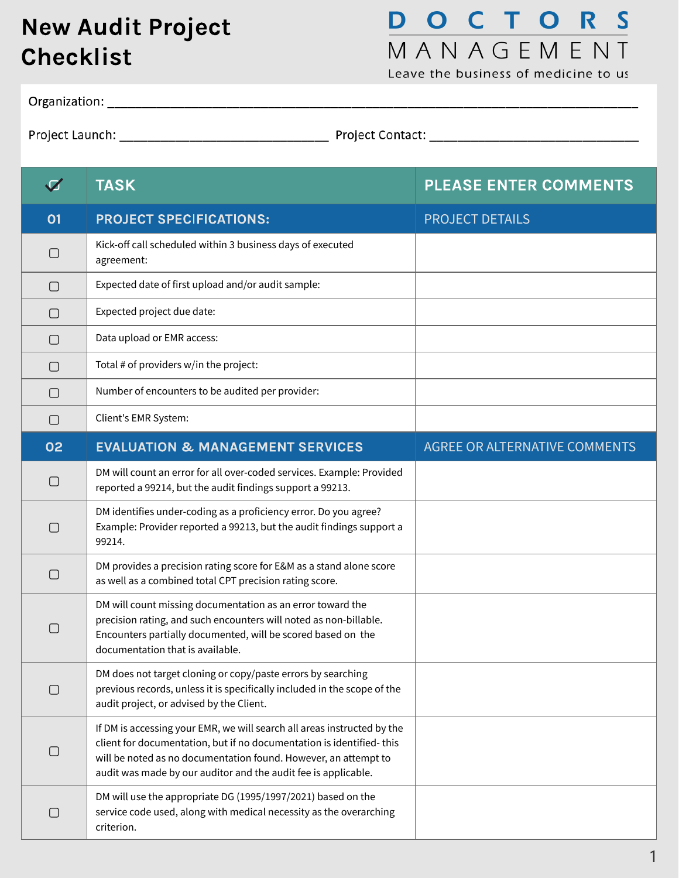## New Audit Project Checklist

## **DOCTORS** MANAGEMENT

Leave the business of medicine to us

| $\blacktriangledown$ | <b>TASK</b>                                                                                                                                                                                                                                                                          | <b>PLEASE ENTER COMMENTS</b>         |
|----------------------|--------------------------------------------------------------------------------------------------------------------------------------------------------------------------------------------------------------------------------------------------------------------------------------|--------------------------------------|
| 01                   | <b>PROJECT SPECIFICATIONS:</b>                                                                                                                                                                                                                                                       | <b>PROJECT DETAILS</b>               |
| $\Box$               | Kick-off call scheduled within 3 business days of executed<br>agreement:                                                                                                                                                                                                             |                                      |
| $\Box$               | Expected date of first upload and/or audit sample:                                                                                                                                                                                                                                   |                                      |
| $\Box$               | Expected project due date:                                                                                                                                                                                                                                                           |                                      |
| $\Box$               | Data upload or EMR access:                                                                                                                                                                                                                                                           |                                      |
| $\Box$               | Total # of providers w/in the project:                                                                                                                                                                                                                                               |                                      |
| $\Box$               | Number of encounters to be audited per provider:                                                                                                                                                                                                                                     |                                      |
| $\Box$               | Client's EMR System:                                                                                                                                                                                                                                                                 |                                      |
| 02                   | <b>EVALUATION &amp; MANAGEMENT SERVICES</b>                                                                                                                                                                                                                                          | <b>AGREE OR ALTERNATIVE COMMENTS</b> |
| $\Box$               | DM will count an error for all over-coded services. Example: Provided<br>reported a 99214, but the audit findings support a 99213.                                                                                                                                                   |                                      |
| $\Box$               | DM identifies under-coding as a proficiency error. Do you agree?<br>Example: Provider reported a 99213, but the audit findings support a<br>99214.                                                                                                                                   |                                      |
| $\Box$               | DM provides a precision rating score for E&M as a stand alone score<br>as well as a combined total CPT precision rating score.                                                                                                                                                       |                                      |
|                      | DM will count missing documentation as an error toward the<br>precision rating, and such encounters will noted as non-billable.<br>Encounters partially documented, will be scored based on the<br>documentation that is available.                                                  |                                      |
| $\Box$               | DM does not target cloning or copy/paste errors by searching<br>previous records, unless it is specifically included in the scope of the<br>audit project, or advised by the Client.                                                                                                 |                                      |
| $\Box$               | If DM is accessing your EMR, we will search all areas instructed by the<br>client for documentation, but if no documentation is identified-this<br>will be noted as no documentation found. However, an attempt to<br>audit was made by our auditor and the audit fee is applicable. |                                      |
| $\Box$               | DM will use the appropriate DG (1995/1997/2021) based on the<br>service code used, along with medical necessity as the overarching<br>criterion.                                                                                                                                     |                                      |